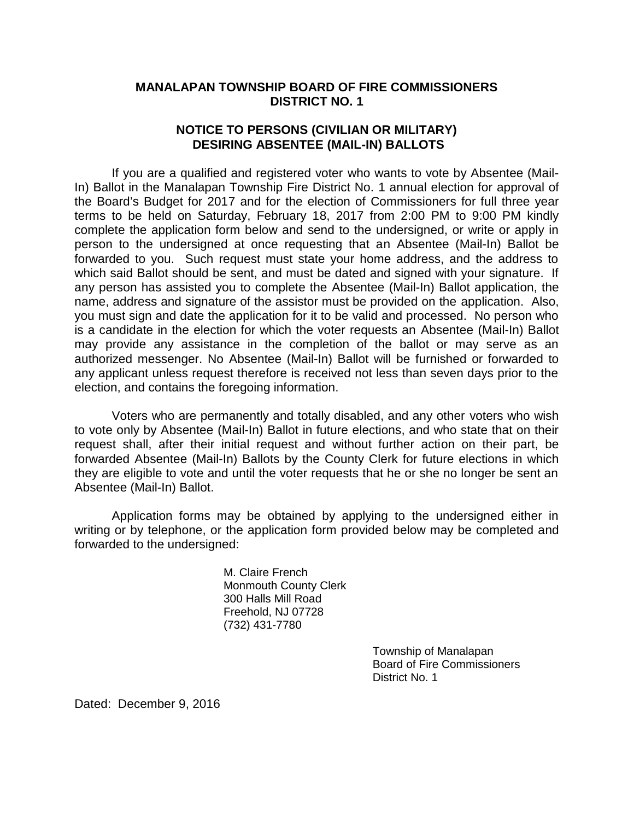## **MANALAPAN TOWNSHIP BOARD OF FIRE COMMISSIONERS DISTRICT NO. 1**

## **NOTICE TO PERSONS (CIVILIAN OR MILITARY) DESIRING ABSENTEE (MAIL-IN) BALLOTS**

If you are a qualified and registered voter who wants to vote by Absentee (Mail-In) Ballot in the Manalapan Township Fire District No. 1 annual election for approval of the Board's Budget for 2017 and for the election of Commissioners for full three year terms to be held on Saturday, February 18, 2017 from 2:00 PM to 9:00 PM kindly complete the application form below and send to the undersigned, or write or apply in person to the undersigned at once requesting that an Absentee (Mail-In) Ballot be forwarded to you. Such request must state your home address, and the address to which said Ballot should be sent, and must be dated and signed with your signature. If any person has assisted you to complete the Absentee (Mail-In) Ballot application, the name, address and signature of the assistor must be provided on the application. Also, you must sign and date the application for it to be valid and processed. No person who is a candidate in the election for which the voter requests an Absentee (Mail-In) Ballot may provide any assistance in the completion of the ballot or may serve as an authorized messenger. No Absentee (Mail-In) Ballot will be furnished or forwarded to any applicant unless request therefore is received not less than seven days prior to the election, and contains the foregoing information.

Voters who are permanently and totally disabled, and any other voters who wish to vote only by Absentee (Mail-In) Ballot in future elections, and who state that on their request shall, after their initial request and without further action on their part, be forwarded Absentee (Mail-In) Ballots by the County Clerk for future elections in which they are eligible to vote and until the voter requests that he or she no longer be sent an Absentee (Mail-In) Ballot.

Application forms may be obtained by applying to the undersigned either in writing or by telephone, or the application form provided below may be completed and forwarded to the undersigned:

> M. Claire French Monmouth County Clerk 300 Halls Mill Road Freehold, NJ 07728 (732) 431-7780

> > Township of Manalapan Board of Fire Commissioners District No. 1

Dated: December 9, 2016